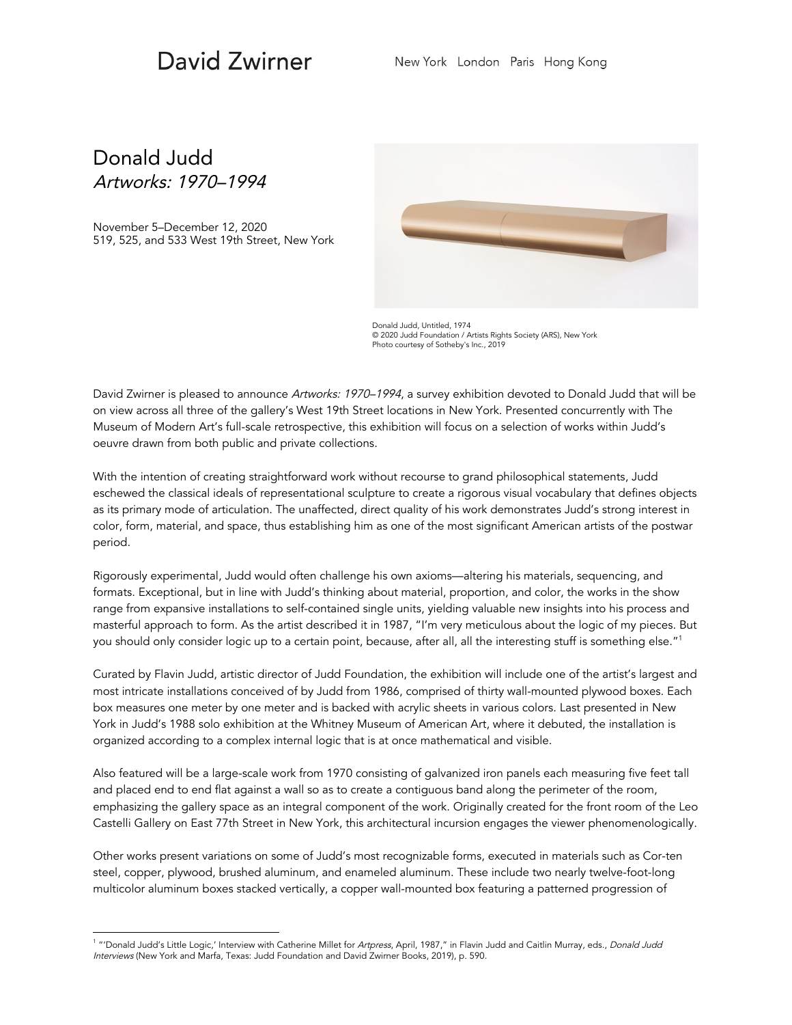## David Zwirner

## Donald Judd Artworks: 1970–1994

November 5–December 12, 2020 519, 525, and 533 West 19th Street, New York



Donald Judd, Untitled, 1974 © 2020 Judd Foundation / Artists Rights Society (ARS), New York Photo courtesy of Sotheby's Inc., 2019

David Zwirner is pleased to announce Artworks: 1970–1994, a survey exhibition devoted to Donald Judd that will be on view across all three of the gallery's West 19th Street locations in New York. Presented concurrently with The Museum of Modern Art's full-scale retrospective, this exhibition will focus on a selection of works within Judd's oeuvre drawn from both public and private collections.

With the intention of creating straightforward work without recourse to grand philosophical statements, Judd eschewed the classical ideals of representational sculpture to create a rigorous visual vocabulary that defines objects as its primary mode of articulation. The unaffected, direct quality of his work demonstrates Judd's strong interest in color, form, material, and space, thus establishing him as one of the most significant American artists of the postwar period.

Rigorously experimental, Judd would often challenge his own axioms—altering his materials, sequencing, and formats. Exceptional, but in line with Judd's thinking about material, proportion, and color, the works in the show range from expansive installations to self-contained single units, yielding valuable new insights into his process and masterful approach to form. As the artist described it in 1987, "I'm very meticulous about the logic of my pieces. But you should only consider logic up to a certain point, because, after all, all the interesting stuff is something else." 1

Curated by Flavin Judd, artistic director of Judd Foundation, the exhibition will include one of the artist's largest and most intricate installations conceived of by Judd from 1986, comprised of thirty wall-mounted plywood boxes. Each box measures one meter by one meter and is backed with acrylic sheets in various colors. Last presented in New York in Judd's 1988 solo exhibition at the Whitney Museum of American Art, where it debuted, the installation is organized according to a complex internal logic that is at once mathematical and visible.

Also featured will be a large-scale work from 1970 consisting of galvanized iron panels each measuring five feet tall and placed end to end flat against a wall so as to create a contiguous band along the perimeter of the room, emphasizing the gallery space as an integral component of the work. Originally created for the front room of the Leo Castelli Gallery on East 77th Street in New York, this architectural incursion engages the viewer phenomenologically.

Other works present variations on some of Judd's most recognizable forms, executed in materials such as Cor-ten steel, copper, plywood, brushed aluminum, and enameled aluminum. These include two nearly twelve-foot-long multicolor aluminum boxes stacked vertically, a copper wall-mounted box featuring a patterned progression of

<sup>&</sup>lt;sup>1</sup> "'Donald Judd's Little Logic,' Interview with Catherine Millet for *Artpress*, April, 1987," in Flavin Judd and Caitlin Murray, eds., *Donald Judd* Interviews (New York and Marfa, Texas: Judd Foundation and David Zwirner Books, 2019), p. 590.